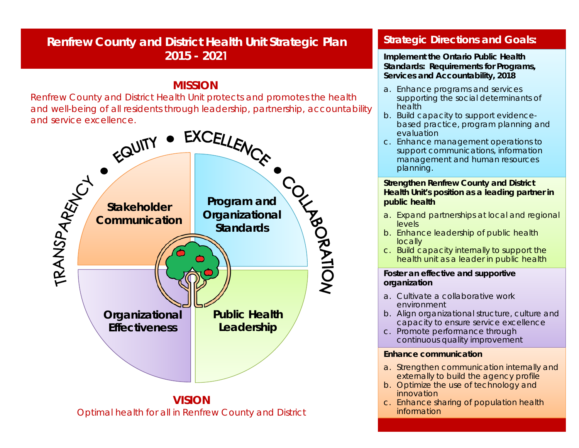# **Renfrew County and District Health Unit Strategic Plan 2015 - 2021**

## **MISSION**

*Renfrew County and District Health Unit protects and promotes the health and well-being of all residents through leadership, partnership, accountability* 



#### **Strategic Directions and Goals:**

**Implement the Ontario Public Health Standards: Requirements for Programs, Services and Accountability, 2018**

- a. Enhance programs and services supporting the social determinants of health
- b. Build capacity to support evidencebased practice, program planning and evaluation
- c. Enhance management operations to support communications, information management and human resources planning.

#### **Strengthen Renfrew County and District Health Unit's position as a leading partner in public health**

- a. Expand partnerships at local and regional levels
- b. Enhance leadership of public health locally
- c. Build capacity internally to support the health unit as a leader in public health

#### **Foster an effective and supportive organization**

- a. Cultivate a collaborative work environment
- b. Align organizational structure, culture and capacity to ensure service excellence
- c. Promote performance through continuous quality improvement

#### **Enhance communication**

- a. Strengthen communication internally and externally to build the agency profile
- b. Optimize the use of technology and innovation
- c. Enhance sharing of population health information